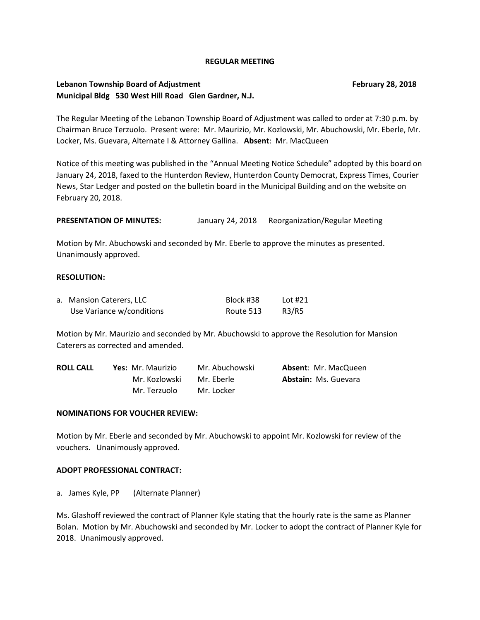#### **REGULAR MEETING**

## **Lebanon Township Board of Adjustment Community Community Community Community Community Community Community Community Community Community Community Community Community Community Community Community Community Community Comm Municipal Bldg 530 West Hill Road Glen Gardner, N.J.**

The Regular Meeting of the Lebanon Township Board of Adjustment was called to order at 7:30 p.m. by Chairman Bruce Terzuolo. Present were: Mr. Maurizio, Mr. Kozlowski, Mr. Abuchowski, Mr. Eberle, Mr. Locker, Ms. Guevara, Alternate I & Attorney Gallina. **Absent**: Mr. MacQueen

Notice of this meeting was published in the "Annual Meeting Notice Schedule" adopted by this board on January 24, 2018, faxed to the Hunterdon Review, Hunterdon County Democrat, Express Times, Courier News, Star Ledger and posted on the bulletin board in the Municipal Building and on the website on February 20, 2018.

**PRESENTATION OF MINUTES:** January 24, 2018 Reorganization/Regular Meeting

Motion by Mr. Abuchowski and seconded by Mr. Eberle to approve the minutes as presented. Unanimously approved.

## **RESOLUTION:**

| a. Mansion Caterers, LLC  | Block #38 | Lot #21 |
|---------------------------|-----------|---------|
| Use Variance w/conditions | Route 513 | R3/R5   |

Motion by Mr. Maurizio and seconded by Mr. Abuchowski to approve the Resolution for Mansion Caterers as corrected and amended.

| <b>ROLL CALL</b> | <b>Yes:</b> Mr. Maurizio | Mr. Abuchowski | <b>Absent: Mr. MacQueen</b> |
|------------------|--------------------------|----------------|-----------------------------|
|                  | Mr. Kozlowski            | Mr. Eberle     | <b>Abstain: Ms. Guevara</b> |
|                  | Mr. Terzuolo             | Mr. Locker     |                             |

#### **NOMINATIONS FOR VOUCHER REVIEW:**

Motion by Mr. Eberle and seconded by Mr. Abuchowski to appoint Mr. Kozlowski for review of the vouchers. Unanimously approved.

#### **ADOPT PROFESSIONAL CONTRACT:**

a. James Kyle, PP (Alternate Planner)

Ms. Glashoff reviewed the contract of Planner Kyle stating that the hourly rate is the same as Planner Bolan. Motion by Mr. Abuchowski and seconded by Mr. Locker to adopt the contract of Planner Kyle for 2018. Unanimously approved.